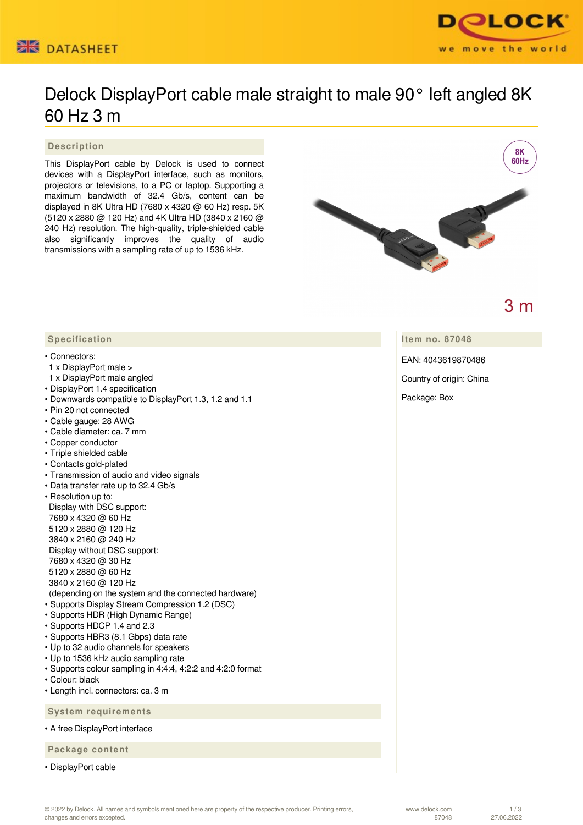



# Delock DisplayPort cable male straight to male 90° left angled 8K 60 Hz 3 m

#### **Description**

This DisplayPort cable by Delock is used to connect devices with a DisplayPort interface, such as monitors, projectors or televisions, to a PC or laptop. Supporting a maximum bandwidth of 32.4 Gb/s, content can be displayed in 8K Ultra HD (7680 x 4320 @ 60 Hz) resp. 5K (5120 x 2880 @ 120 Hz) and 4K Ultra HD (3840 x 2160 @ 240 Hz) resolution. The high-quality, triple-shielded cable also significantly improves the quality of audio transmissions with a sampling rate of up to 1536 kHz.



 $3m$ 

**Item no. 87048**

EAN: 4043619870486

Country of origin: China

Package: Box

### **Specification**

#### • Connectors:

- 1 x DisplayPort male >
- 1 x DisplayPort male angled
- DisplayPort 1.4 specification
- Downwards compatible to DisplayPort 1.3, 1.2 and 1.1
- Pin 20 not connected
- Cable gauge: 28 AWG
- Cable diameter: ca. 7 mm
- Copper conductor
- Triple shielded cable
- Contacts gold-plated
- Transmission of audio and video signals
- Data transfer rate up to 32.4 Gb/s
- Resolution up to: Display with DSC support: 7680 x 4320 @ 60 Hz 5120 x 2880 @ 120 Hz 3840 x 2160 @ 240 Hz Display without DSC support: 7680 x 4320 @ 30 Hz 5120 x 2880 @ 60 Hz 3840 x 2160 @ 120 Hz (depending on the system and the connected hardware) • Supports Display Stream Compression 1.2 (DSC)
- Supports HDR (High Dynamic Range)
- Supports HDCP 1.4 and 2.3
- Supports HBR3 (8.1 Gbps) data rate
- Up to 32 audio channels for speakers
- Up to 1536 kHz audio sampling rate
- Supports colour sampling in 4:4:4, 4:2:2 and 4:2:0 format
- Colour: black
- Length incl. connectors: ca. 3 m

 **System requirements**

• A free DisplayPort interface

 **Package content**

• DisplayPort cable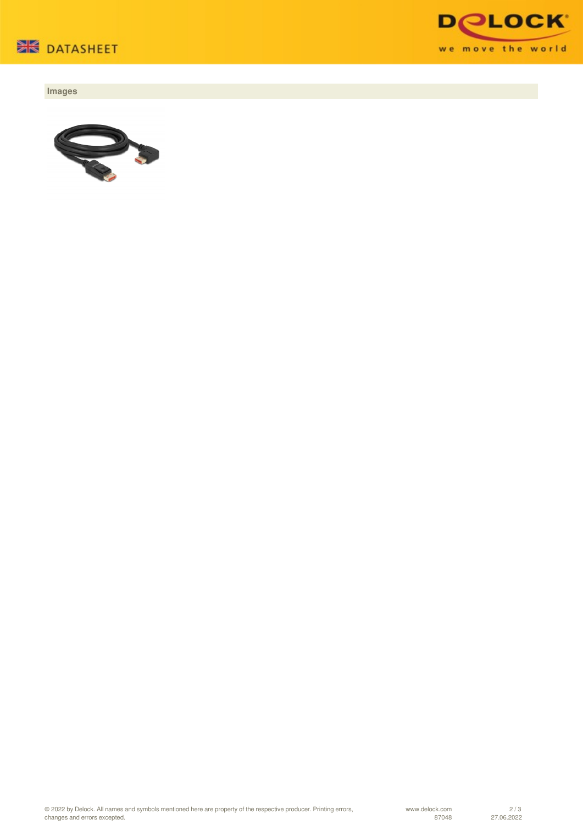

## **Images**